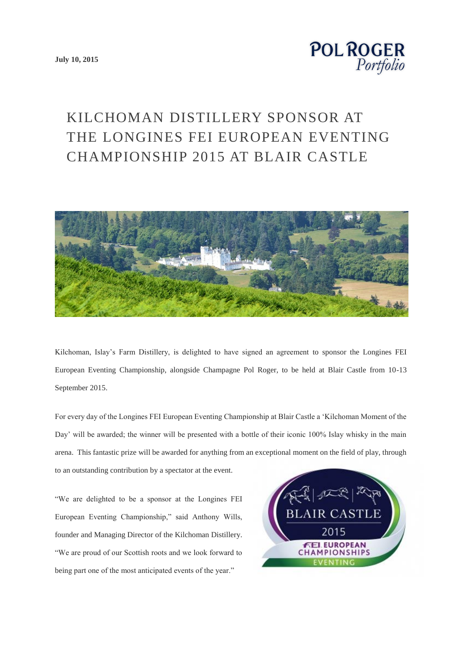**[July 10, 2015](http://www.polroger.co.uk/2015/06/)**



## KILCHOMAN DISTILLERY SPONSOR AT THE LONGINES FEI EUROPEAN EVENTING CHAMPIONSHIP 2015 AT BLAIR CASTLE



Kilchoman, Islay's Farm Distillery, is delighted to have signed an agreement to sponsor the Longines FEI European Eventing Championship, alongside Champagne Pol Roger, to be held at Blair Castle from 10-13 September 2015.

For every day of the Longines FEI European Eventing Championship at Blair Castle a 'Kilchoman Moment of the Day' will be awarded; the winner will be presented with a bottle of their iconic 100% Islay whisky in the main arena. This fantastic prize will be awarded for anything from an exceptional moment on the field of play, through to an outstanding contribution by a spectator at the event.

"We are delighted to be a sponsor at the Longines FEI European Eventing Championship," said Anthony Wills, founder and Managing Director of the Kilchoman Distillery. "We are proud of our Scottish roots and we look forward to being part one of the most anticipated events of the year."